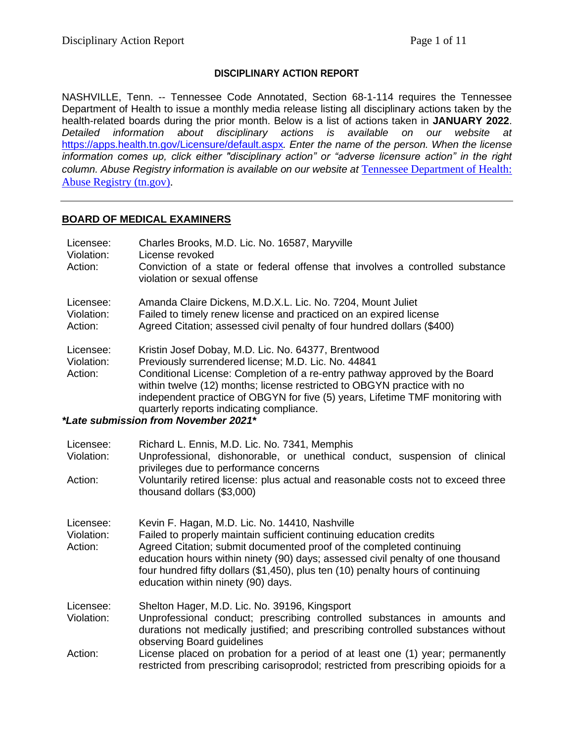#### **DISCIPLINARY ACTION REPORT**

NASHVILLE, Tenn. -- Tennessee Code Annotated, Section 68-1-114 requires the Tennessee Department of Health to issue a monthly media release listing all disciplinary actions taken by the health-related boards during the prior month. Below is a list of actions taken in **JANUARY 2022**. *Detailed information about disciplinary actions is available on our website at*  <https://apps.health.tn.gov/Licensure/default.aspx>*. Enter the name of the person. When the license information comes up, click either "disciplinary action" or "adverse licensure action" in the right column. Abuse Registry information is available on our website at* [Tennessee Department of Health:](https://apps.health.tn.gov/AbuseRegistry/default.aspx)  [Abuse Registry \(tn.gov\).](https://apps.health.tn.gov/AbuseRegistry/default.aspx)

#### **BOARD OF MEDICAL EXAMINERS**

| Licensee:<br>Violation:<br>Action: | Charles Brooks, M.D. Lic. No. 16587, Maryville<br>License revoked<br>Conviction of a state or federal offense that involves a controlled substance<br>violation or sexual offense                                                                                                                                                                                                                                                          |
|------------------------------------|--------------------------------------------------------------------------------------------------------------------------------------------------------------------------------------------------------------------------------------------------------------------------------------------------------------------------------------------------------------------------------------------------------------------------------------------|
| Licensee:<br>Violation:<br>Action: | Amanda Claire Dickens, M.D.X.L. Lic. No. 7204, Mount Juliet<br>Failed to timely renew license and practiced on an expired license<br>Agreed Citation; assessed civil penalty of four hundred dollars (\$400)                                                                                                                                                                                                                               |
| Licensee:<br>Violation:<br>Action: | Kristin Josef Dobay, M.D. Lic. No. 64377, Brentwood<br>Previously surrendered license; M.D. Lic. No. 44841<br>Conditional License: Completion of a re-entry pathway approved by the Board<br>within twelve (12) months; license restricted to OBGYN practice with no<br>independent practice of OBGYN for five (5) years, Lifetime TMF monitoring with<br>quarterly reports indicating compliance.<br>*Late submission from November 2021* |
| Licensee:                          | Richard L. Ennis, M.D. Lic. No. 7341, Memphis                                                                                                                                                                                                                                                                                                                                                                                              |
| Violation:                         | Unprofessional, dishonorable, or unethical conduct, suspension of clinical<br>privileges due to performance concerns                                                                                                                                                                                                                                                                                                                       |
| Action:                            | Voluntarily retired license: plus actual and reasonable costs not to exceed three<br>thousand dollars (\$3,000)                                                                                                                                                                                                                                                                                                                            |
| Licensee:                          | Kevin F. Hagan, M.D. Lic. No. 14410, Nashville                                                                                                                                                                                                                                                                                                                                                                                             |
| Violation:<br>Action:              | Failed to properly maintain sufficient continuing education credits<br>Agreed Citation; submit documented proof of the completed continuing<br>education hours within ninety (90) days; assessed civil penalty of one thousand<br>four hundred fifty dollars (\$1,450), plus ten (10) penalty hours of continuing<br>education within ninety (90) days.                                                                                    |
| Licensee:<br>Violation:            | Shelton Hager, M.D. Lic. No. 39196, Kingsport<br>Unprofessional conduct; prescribing controlled substances in amounts and<br>durations not medically justified; and prescribing controlled substances without<br>observing Board guidelines                                                                                                                                                                                                |
| Action:                            | License placed on probation for a period of at least one (1) year; permanently<br>restricted from prescribing carisoprodol; restricted from prescribing opioids for a                                                                                                                                                                                                                                                                      |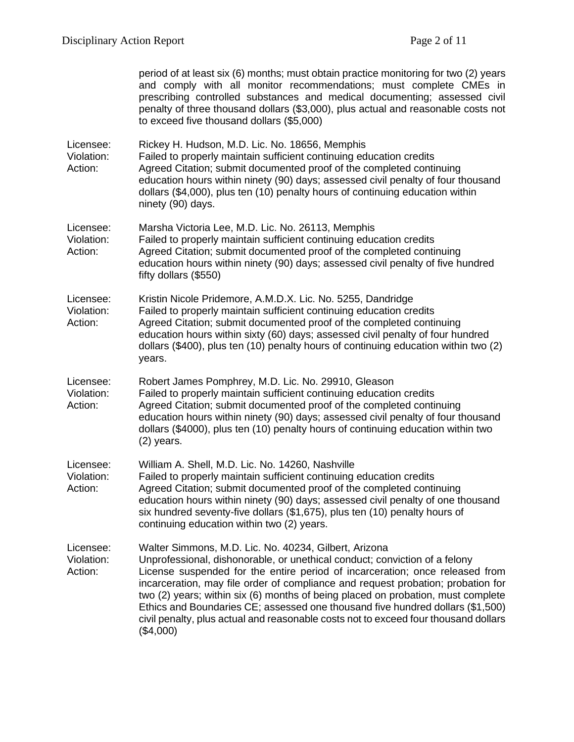|                                    | period of at least six (6) months; must obtain practice monitoring for two (2) years<br>and comply with all monitor recommendations; must complete CMEs in<br>prescribing controlled substances and medical documenting; assessed civil<br>penalty of three thousand dollars (\$3,000), plus actual and reasonable costs not<br>to exceed five thousand dollars (\$5,000)                                                                                                                                                                                                         |
|------------------------------------|-----------------------------------------------------------------------------------------------------------------------------------------------------------------------------------------------------------------------------------------------------------------------------------------------------------------------------------------------------------------------------------------------------------------------------------------------------------------------------------------------------------------------------------------------------------------------------------|
| Licensee:<br>Violation:<br>Action: | Rickey H. Hudson, M.D. Lic. No. 18656, Memphis<br>Failed to properly maintain sufficient continuing education credits<br>Agreed Citation; submit documented proof of the completed continuing<br>education hours within ninety (90) days; assessed civil penalty of four thousand<br>dollars (\$4,000), plus ten (10) penalty hours of continuing education within<br>ninety (90) days.                                                                                                                                                                                           |
| Licensee:<br>Violation:<br>Action: | Marsha Victoria Lee, M.D. Lic. No. 26113, Memphis<br>Failed to properly maintain sufficient continuing education credits<br>Agreed Citation; submit documented proof of the completed continuing<br>education hours within ninety (90) days; assessed civil penalty of five hundred<br>fifty dollars (\$550)                                                                                                                                                                                                                                                                      |
| Licensee:<br>Violation:<br>Action: | Kristin Nicole Pridemore, A.M.D.X. Lic. No. 5255, Dandridge<br>Failed to properly maintain sufficient continuing education credits<br>Agreed Citation; submit documented proof of the completed continuing<br>education hours within sixty (60) days; assessed civil penalty of four hundred<br>dollars (\$400), plus ten (10) penalty hours of continuing education within two (2)<br>years.                                                                                                                                                                                     |
| Licensee:<br>Violation:<br>Action: | Robert James Pomphrey, M.D. Lic. No. 29910, Gleason<br>Failed to properly maintain sufficient continuing education credits<br>Agreed Citation; submit documented proof of the completed continuing<br>education hours within ninety (90) days; assessed civil penalty of four thousand<br>dollars (\$4000), plus ten (10) penalty hours of continuing education within two<br>$(2)$ years.                                                                                                                                                                                        |
| Licensee:<br>Violation:<br>Action: | William A. Shell, M.D. Lic. No. 14260, Nashville<br>Failed to properly maintain sufficient continuing education credits<br>Agreed Citation; submit documented proof of the completed continuing<br>education hours within ninety (90) days; assessed civil penalty of one thousand<br>six hundred seventy-five dollars (\$1,675), plus ten (10) penalty hours of<br>continuing education within two (2) years.                                                                                                                                                                    |
| Licensee:<br>Violation:<br>Action: | Walter Simmons, M.D. Lic. No. 40234, Gilbert, Arizona<br>Unprofessional, dishonorable, or unethical conduct; conviction of a felony<br>License suspended for the entire period of incarceration; once released from<br>incarceration, may file order of compliance and request probation; probation for<br>two (2) years; within six (6) months of being placed on probation, must complete<br>Ethics and Boundaries CE; assessed one thousand five hundred dollars (\$1,500)<br>civil penalty, plus actual and reasonable costs not to exceed four thousand dollars<br>(\$4,000) |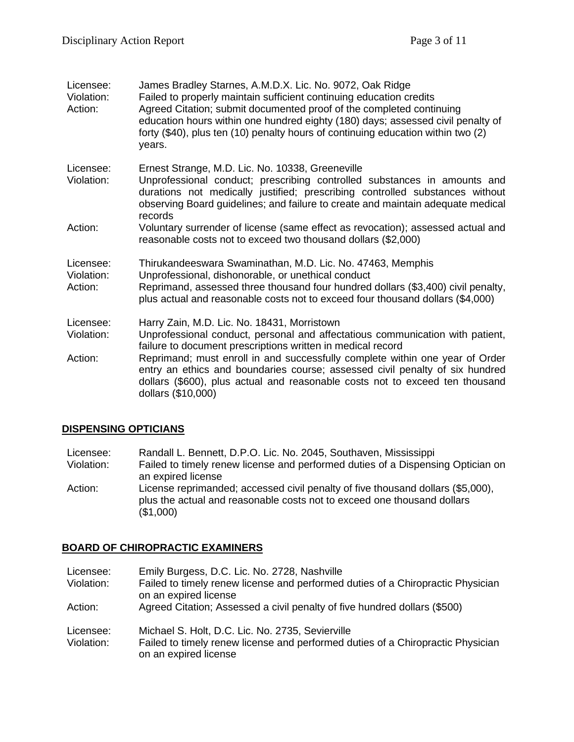| Licensee:<br>Violation:<br>Action: | James Bradley Starnes, A.M.D.X. Lic. No. 9072, Oak Ridge<br>Failed to properly maintain sufficient continuing education credits<br>Agreed Citation; submit documented proof of the completed continuing<br>education hours within one hundred eighty (180) days; assessed civil penalty of<br>forty (\$40), plus ten (10) penalty hours of continuing education within two (2)<br>years.                                                                          |
|------------------------------------|-------------------------------------------------------------------------------------------------------------------------------------------------------------------------------------------------------------------------------------------------------------------------------------------------------------------------------------------------------------------------------------------------------------------------------------------------------------------|
| Licensee:<br>Violation:            | Ernest Strange, M.D. Lic. No. 10338, Greeneville<br>Unprofessional conduct; prescribing controlled substances in amounts and<br>durations not medically justified; prescribing controlled substances without<br>observing Board guidelines; and failure to create and maintain adequate medical<br>records                                                                                                                                                        |
| Action:                            | Voluntary surrender of license (same effect as revocation); assessed actual and<br>reasonable costs not to exceed two thousand dollars (\$2,000)                                                                                                                                                                                                                                                                                                                  |
| Licensee:<br>Violation:<br>Action: | Thirukandeeswara Swaminathan, M.D. Lic. No. 47463, Memphis<br>Unprofessional, dishonorable, or unethical conduct<br>Reprimand, assessed three thousand four hundred dollars (\$3,400) civil penalty,<br>plus actual and reasonable costs not to exceed four thousand dollars (\$4,000)                                                                                                                                                                            |
| Licensee:<br>Violation:<br>Action: | Harry Zain, M.D. Lic. No. 18431, Morristown<br>Unprofessional conduct, personal and affectatious communication with patient,<br>failure to document prescriptions written in medical record<br>Reprimand; must enroll in and successfully complete within one year of Order<br>entry an ethics and boundaries course; assessed civil penalty of six hundred<br>dollars (\$600), plus actual and reasonable costs not to exceed ten thousand<br>dollars (\$10,000) |

## **DISPENSING OPTICIANS**

Licensee: Randall L. Bennett, D.P.O. Lic. No. 2045, Southaven, Mississippi<br>Violation: Failed to timely renew license and performed duties of a Dispensi Failed to timely renew license and performed duties of a Dispensing Optician on

an expired license Action: License reprimanded; accessed civil penalty of five thousand dollars (\$5,000), plus the actual and reasonable costs not to exceed one thousand dollars (\$1,000)

## **BOARD OF CHIROPRACTIC EXAMINERS**

| Licensee:<br>Violation: | Emily Burgess, D.C. Lic. No. 2728, Nashville<br>Failed to timely renew license and performed duties of a Chiropractic Physician<br>on an expired license     |
|-------------------------|--------------------------------------------------------------------------------------------------------------------------------------------------------------|
| Action:                 | Agreed Citation; Assessed a civil penalty of five hundred dollars (\$500)                                                                                    |
| Licensee:<br>Violation: | Michael S. Holt, D.C. Lic. No. 2735, Sevierville<br>Failed to timely renew license and performed duties of a Chiropractic Physician<br>on an expired license |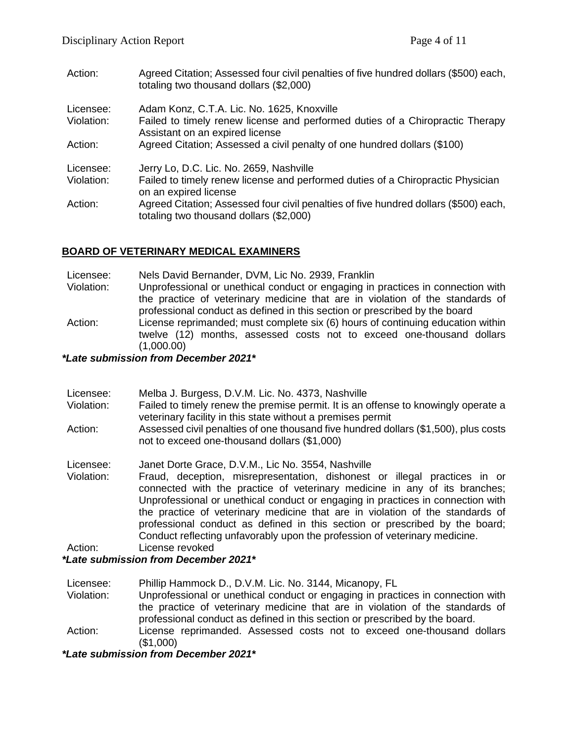| Action:    | Agreed Citation; Assessed four civil penalties of five hundred dollars (\$500) each,<br>totaling two thousand dollars (\$2,000) |
|------------|---------------------------------------------------------------------------------------------------------------------------------|
| Licensee:  | Adam Konz, C.T.A. Lic. No. 1625, Knoxville                                                                                      |
| Violation: | Failed to timely renew license and performed duties of a Chiropractic Therapy<br>Assistant on an expired license                |
| Action:    | Agreed Citation; Assessed a civil penalty of one hundred dollars (\$100)                                                        |
| Licensee:  | Jerry Lo, D.C. Lic. No. 2659, Nashville                                                                                         |
| Violation: | Failed to timely renew license and performed duties of a Chiropractic Physician<br>on an expired license                        |
| Action:    | Agreed Citation; Assessed four civil penalties of five hundred dollars (\$500) each,<br>totaling two thousand dollars (\$2,000) |

## **BOARD OF VETERINARY MEDICAL EXAMINERS**

Licensee: Nels David Bernander, DVM, Lic No. 2939, Franklin

- Violation: Unprofessional or unethical conduct or engaging in practices in connection with the practice of veterinary medicine that are in violation of the standards of professional conduct as defined in this section or prescribed by the board
- Action: License reprimanded; must complete six (6) hours of continuing education within twelve (12) months, assessed costs not to exceed one-thousand dollars (1,000.00)

*\*Late submission from December 2021\**

Licensee: Melba J. Burgess, D.V.M. Lic. No. 4373, Nashville Violation: Failed to timely renew the premise permit. It is an offense to knowingly operate a veterinary facility in this state without a premises permit Action: Assessed civil penalties of one thousand five hundred dollars (\$1,500), plus costs not to exceed one-thousand dollars (\$1,000) Licensee: Janet Dorte Grace, D.V.M., Lic No. 3554, Nashville Violation: Fraud, deception, misrepresentation, dishonest or illegal practices in or connected with the practice of veterinary medicine in any of its branches; Unprofessional or unethical conduct or engaging in practices in connection with the practice of veterinary medicine that are in violation of the standards of professional conduct as defined in this section or prescribed by the board; Conduct reflecting unfavorably upon the profession of veterinary medicine.

Action: License revoked

## *\*Late submission from December 2021\**

Licensee: Phillip Hammock D., D.V.M. Lic. No. 3144, Micanopy, FL

- Violation: Unprofessional or unethical conduct or engaging in practices in connection with the practice of veterinary medicine that are in violation of the standards of professional conduct as defined in this section or prescribed by the board.
- Action: License reprimanded. Assessed costs not to exceed one-thousand dollars (\$1,000)

*\*Late submission from December 2021\**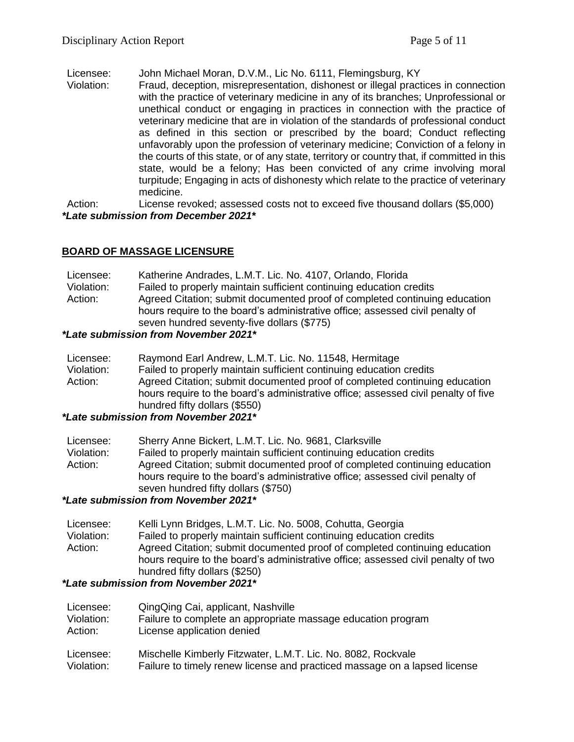Licensee: John Michael Moran, D.V.M., Lic No. 6111, Flemingsburg, KY

Violation: Fraud, deception, misrepresentation, dishonest or illegal practices in connection with the practice of veterinary medicine in any of its branches; Unprofessional or unethical conduct or engaging in practices in connection with the practice of veterinary medicine that are in violation of the standards of professional conduct as defined in this section or prescribed by the board; Conduct reflecting unfavorably upon the profession of veterinary medicine; Conviction of a felony in the courts of this state, or of any state, territory or country that, if committed in this state, would be a felony; Has been convicted of any crime involving moral turpitude; Engaging in acts of dishonesty which relate to the practice of veterinary medicine.

Action: License revoked; assessed costs not to exceed five thousand dollars (\$5,000) *\*Late submission from December 2021\**

## **BOARD OF MASSAGE LICENSURE**

| Licensee:  | Katherine Andrades, L.M.T. Lic. No. 4107, Orlando, Florida                                                                                                                                                |
|------------|-----------------------------------------------------------------------------------------------------------------------------------------------------------------------------------------------------------|
| Violation: | Failed to properly maintain sufficient continuing education credits                                                                                                                                       |
| Action:    | Agreed Citation; submit documented proof of completed continuing education<br>hours require to the board's administrative office; assessed civil penalty of<br>seven hundred seventy-five dollars (\$775) |

#### *\*Late submission from November 2021\**

| Licensee:  | Raymond Earl Andrew, L.M.T. Lic. No. 11548, Hermitage                              |
|------------|------------------------------------------------------------------------------------|
| Violation: | Failed to properly maintain sufficient continuing education credits                |
| Action:    | Agreed Citation; submit documented proof of completed continuing education         |
|            | hours require to the board's administrative office; assessed civil penalty of five |
|            | hundred fifty dollars (\$550)                                                      |
|            |                                                                                    |

#### *\*Late submission from November 2021\**

| Licensee:  | Sherry Anne Bickert, L.M.T. Lic. No. 9681, Clarksville                                                                                                                                             |
|------------|----------------------------------------------------------------------------------------------------------------------------------------------------------------------------------------------------|
| Violation: | Failed to properly maintain sufficient continuing education credits                                                                                                                                |
| Action:    | Agreed Citation; submit documented proof of completed continuing education<br>hours require to the board's administrative office; assessed civil penalty of<br>seven hundred fifty dollars (\$750) |

#### *\*Late submission from November 2021\**

Licensee: Kelli Lynn Bridges, L.M.T. Lic. No. 5008, Cohutta, Georgia Violation: Failed to properly maintain sufficient continuing education credits Action: Agreed Citation; submit documented proof of completed continuing education hours require to the board's administrative office; assessed civil penalty of two hundred fifty dollars (\$250)

## *\*Late submission from November 2021\**

Licensee: QingQing Cai, applicant, Nashville Violation: Failure to complete an appropriate massage education program Action: License application denied Licensee: Mischelle Kimberly Fitzwater, L.M.T. Lic. No. 8082, Rockvale Violation: Failure to timely renew license and practiced massage on a lapsed license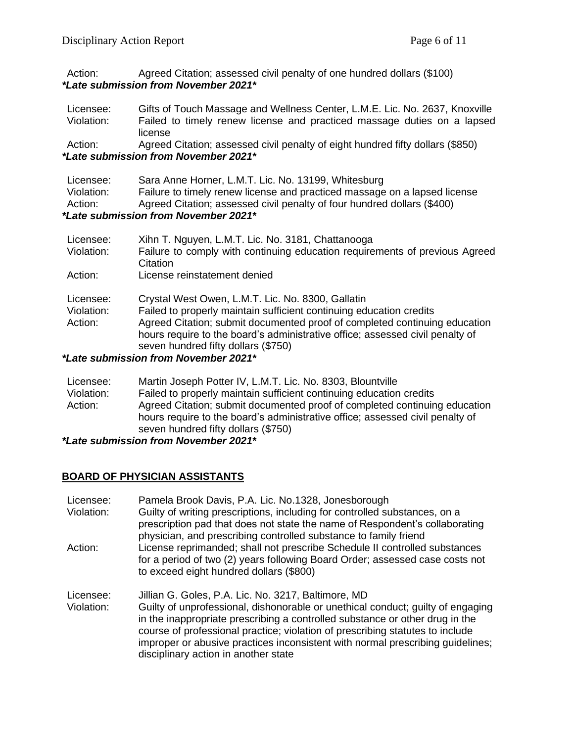Action: Agreed Citation; assessed civil penalty of one hundred dollars (\$100) *\*Late submission from November 2021\**

| Licensee:  | Gifts of Touch Massage and Wellness Center, L.M.E. Lic. No. 2637, Knoxville |
|------------|-----------------------------------------------------------------------------|
| Violation: | Failed to timely renew license and practiced massage duties on a lapsed     |
|            | license                                                                     |

Action: Agreed Citation; assessed civil penalty of eight hundred fifty dollars (\$850) *\*Late submission from November 2021\**

| Licensee:                            | Sara Anne Horner, L.M.T. Lic. No. 13199, Whitesburg                       |
|--------------------------------------|---------------------------------------------------------------------------|
| Violation:                           | Failure to timely renew license and practiced massage on a lapsed license |
| Action:                              | Agreed Citation; assessed civil penalty of four hundred dollars (\$400)   |
| *Late submission from November 2021* |                                                                           |

| Licensee:  | Xihn T. Nguyen, L.M.T. Lic. No. 3181, Chattanooga                             |
|------------|-------------------------------------------------------------------------------|
| Violation: | Failure to comply with continuing education requirements of previous Agreed   |
|            | Citation                                                                      |
| Action:    | License reinstatement denied                                                  |
| Licensee:  | Crystal West Owen, L.M.T. Lic. No. 8300, Gallatin                             |
| Violation: | Failed to properly maintain sufficient continuing education credits           |
| Action:    | Agreed Citation; submit documented proof of completed continuing education    |
|            | hours require to the board's administrative office; assessed civil penalty of |
|            | seven hundred fifty dollars (\$750)                                           |
|            | tl ata aukasiaalan fuam Nausankan 0004*                                       |

*\*Late submission from November 2021\**

| Licensee:  | Martin Joseph Potter IV, L.M.T. Lic. No. 8303, Blountville                    |
|------------|-------------------------------------------------------------------------------|
| Violation: | Failed to properly maintain sufficient continuing education credits           |
| Action:    | Agreed Citation; submit documented proof of completed continuing education    |
|            | hours require to the board's administrative office; assessed civil penalty of |
|            | seven hundred fifty dollars (\$750)                                           |

*\*Late submission from November 2021\**

## **BOARD OF PHYSICIAN ASSISTANTS**

| Licensee:<br>Violation:<br>Action: | Pamela Brook Davis, P.A. Lic. No.1328, Jonesborough<br>Guilty of writing prescriptions, including for controlled substances, on a<br>prescription pad that does not state the name of Respondent's collaborating<br>physician, and prescribing controlled substance to family friend<br>License reprimanded; shall not prescribe Schedule II controlled substances                                                                |
|------------------------------------|-----------------------------------------------------------------------------------------------------------------------------------------------------------------------------------------------------------------------------------------------------------------------------------------------------------------------------------------------------------------------------------------------------------------------------------|
|                                    | for a period of two (2) years following Board Order; assessed case costs not<br>to exceed eight hundred dollars (\$800)                                                                                                                                                                                                                                                                                                           |
| Licensee:<br>Violation:            | Jillian G. Goles, P.A. Lic. No. 3217, Baltimore, MD<br>Guilty of unprofessional, dishonorable or unethical conduct; guilty of engaging<br>in the inappropriate prescribing a controlled substance or other drug in the<br>course of professional practice; violation of prescribing statutes to include<br>improper or abusive practices inconsistent with normal prescribing guidelines;<br>disciplinary action in another state |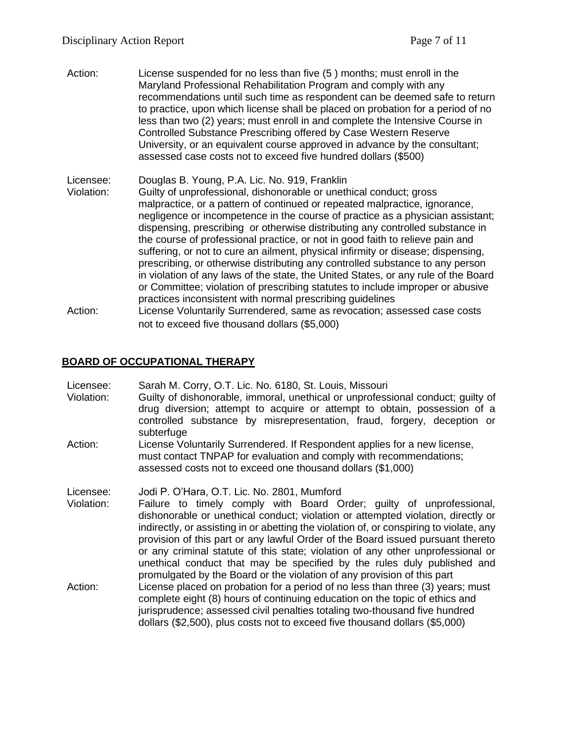Action: License suspended for no less than five (5 ) months; must enroll in the Maryland Professional Rehabilitation Program and comply with any recommendations until such time as respondent can be deemed safe to return to practice, upon which license shall be placed on probation for a period of no less than two (2) years; must enroll in and complete the Intensive Course in Controlled Substance Prescribing offered by Case Western Reserve University, or an equivalent course approved in advance by the consultant; assessed case costs not to exceed five hundred dollars (\$500)

Licensee: Douglas B. Young, P.A. Lic. No. 919, Franklin Violation: Guilty of unprofessional, dishonorable or unethical conduct; gross malpractice, or a pattern of continued or repeated malpractice, ignorance, negligence or incompetence in the course of practice as a physician assistant; dispensing, prescribing or otherwise distributing any controlled substance in the course of professional practice, or not in good faith to relieve pain and suffering, or not to cure an ailment, physical infirmity or disease; dispensing, prescribing, or otherwise distributing any controlled substance to any person in violation of any laws of the state, the United States, or any rule of the Board or Committee; violation of prescribing statutes to include improper or abusive practices inconsistent with normal prescribing guidelines

Action: License Voluntarily Surrendered, same as revocation; assessed case costs not to exceed five thousand dollars (\$5,000)

#### **BOARD OF OCCUPATIONAL THERAPY**

Licensee: Sarah M. Corry, O.T. Lic. No. 6180, St. Louis, Missouri Violation: Guilty of dishonorable, immoral, unethical or unprofessional conduct; guilty of drug diversion; attempt to acquire or attempt to obtain, possession of a controlled substance by misrepresentation, fraud, forgery, deception or subterfuge Action: License Voluntarily Surrendered. If Respondent applies for a new license, must contact TNPAP for evaluation and comply with recommendations; assessed costs not to exceed one thousand dollars (\$1,000) Licensee: Jodi P. O'Hara, O.T. Lic. No. 2801, Mumford Violation: Failure to timely comply with Board Order; guilty of unprofessional, dishonorable or unethical conduct; violation or attempted violation, directly or indirectly, or assisting in or abetting the violation of, or conspiring to violate, any provision of this part or any lawful Order of the Board issued pursuant thereto or any criminal statute of this state; violation of any other unprofessional or unethical conduct that may be specified by the rules duly published and promulgated by the Board or the violation of any provision of this part Action: License placed on probation for a period of no less than three (3) years; must complete eight (8) hours of continuing education on the topic of ethics and jurisprudence; assessed civil penalties totaling two-thousand five hundred dollars (\$2,500), plus costs not to exceed five thousand dollars (\$5,000)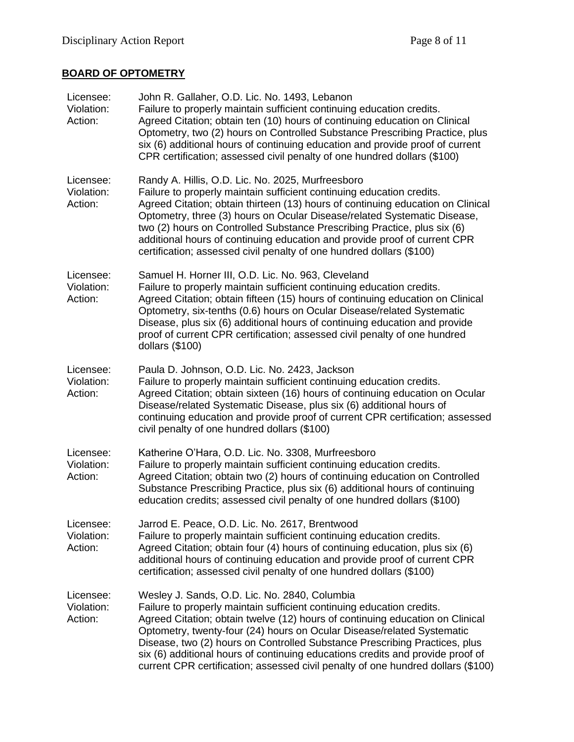# **BOARD OF OPTOMETRY**

| Licensee:<br>Violation:<br>Action: | John R. Gallaher, O.D. Lic. No. 1493, Lebanon<br>Failure to properly maintain sufficient continuing education credits.<br>Agreed Citation; obtain ten (10) hours of continuing education on Clinical<br>Optometry, two (2) hours on Controlled Substance Prescribing Practice, plus<br>six (6) additional hours of continuing education and provide proof of current<br>CPR certification; assessed civil penalty of one hundred dollars (\$100)                                                                                      |
|------------------------------------|---------------------------------------------------------------------------------------------------------------------------------------------------------------------------------------------------------------------------------------------------------------------------------------------------------------------------------------------------------------------------------------------------------------------------------------------------------------------------------------------------------------------------------------|
| Licensee:<br>Violation:<br>Action: | Randy A. Hillis, O.D. Lic. No. 2025, Murfreesboro<br>Failure to properly maintain sufficient continuing education credits.<br>Agreed Citation; obtain thirteen (13) hours of continuing education on Clinical<br>Optometry, three (3) hours on Ocular Disease/related Systematic Disease,<br>two (2) hours on Controlled Substance Prescribing Practice, plus six (6)<br>additional hours of continuing education and provide proof of current CPR<br>certification; assessed civil penalty of one hundred dollars (\$100)            |
| Licensee:<br>Violation:<br>Action: | Samuel H. Horner III, O.D. Lic. No. 963, Cleveland<br>Failure to properly maintain sufficient continuing education credits.<br>Agreed Citation; obtain fifteen (15) hours of continuing education on Clinical<br>Optometry, six-tenths (0.6) hours on Ocular Disease/related Systematic<br>Disease, plus six (6) additional hours of continuing education and provide<br>proof of current CPR certification; assessed civil penalty of one hundred<br>dollars $(\$100)$                                                               |
| Licensee:<br>Violation:<br>Action: | Paula D. Johnson, O.D. Lic. No. 2423, Jackson<br>Failure to properly maintain sufficient continuing education credits.<br>Agreed Citation; obtain sixteen (16) hours of continuing education on Ocular<br>Disease/related Systematic Disease, plus six (6) additional hours of<br>continuing education and provide proof of current CPR certification; assessed<br>civil penalty of one hundred dollars (\$100)                                                                                                                       |
| Licensee:<br>Violation:<br>Action: | Katherine O'Hara, O.D. Lic. No. 3308, Murfreesboro<br>Failure to properly maintain sufficient continuing education credits.<br>Agreed Citation; obtain two (2) hours of continuing education on Controlled<br>Substance Prescribing Practice, plus six (6) additional hours of continuing<br>education credits; assessed civil penalty of one hundred dollars (\$100)                                                                                                                                                                 |
| Licensee:<br>Violation:<br>Action: | Jarrod E. Peace, O.D. Lic. No. 2617, Brentwood<br>Failure to properly maintain sufficient continuing education credits.<br>Agreed Citation; obtain four (4) hours of continuing education, plus six (6)<br>additional hours of continuing education and provide proof of current CPR<br>certification; assessed civil penalty of one hundred dollars (\$100)                                                                                                                                                                          |
| Licensee:<br>Violation:<br>Action: | Wesley J. Sands, O.D. Lic. No. 2840, Columbia<br>Failure to properly maintain sufficient continuing education credits.<br>Agreed Citation; obtain twelve (12) hours of continuing education on Clinical<br>Optometry, twenty-four (24) hours on Ocular Disease/related Systematic<br>Disease, two (2) hours on Controlled Substance Prescribing Practices, plus<br>six (6) additional hours of continuing educations credits and provide proof of<br>current CPR certification; assessed civil penalty of one hundred dollars (\$100) |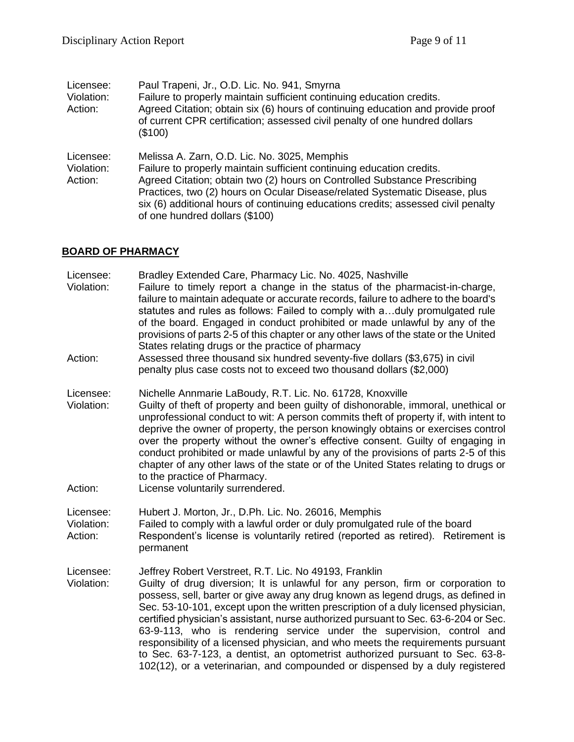| Licensee:<br>Violation:<br>Action: | Paul Trapeni, Jr., O.D. Lic. No. 941, Smyrna<br>Failure to properly maintain sufficient continuing education credits.<br>Agreed Citation; obtain six (6) hours of continuing education and provide proof<br>of current CPR certification; assessed civil penalty of one hundred dollars<br>(\$100)                                                                                                       |
|------------------------------------|----------------------------------------------------------------------------------------------------------------------------------------------------------------------------------------------------------------------------------------------------------------------------------------------------------------------------------------------------------------------------------------------------------|
| Licensee:<br>Violation:<br>Action: | Melissa A. Zarn, O.D. Lic. No. 3025, Memphis<br>Failure to properly maintain sufficient continuing education credits.<br>Agreed Citation; obtain two (2) hours on Controlled Substance Prescribing<br>Practices, two (2) hours on Ocular Disease/related Systematic Disease, plus<br>six (6) additional hours of continuing educations credits; assessed civil penalty<br>of one hundred dollars (\$100) |

## **BOARD OF PHARMACY**

| Licensee:<br>Violation:            | Bradley Extended Care, Pharmacy Lic. No. 4025, Nashville<br>Failure to timely report a change in the status of the pharmacist-in-charge,<br>failure to maintain adequate or accurate records, failure to adhere to the board's<br>statutes and rules as follows: Failed to comply with aduly promulgated rule<br>of the board. Engaged in conduct prohibited or made unlawful by any of the<br>provisions of parts 2-5 of this chapter or any other laws of the state or the United<br>States relating drugs or the practice of pharmacy                                                                                                                                                                                                |
|------------------------------------|-----------------------------------------------------------------------------------------------------------------------------------------------------------------------------------------------------------------------------------------------------------------------------------------------------------------------------------------------------------------------------------------------------------------------------------------------------------------------------------------------------------------------------------------------------------------------------------------------------------------------------------------------------------------------------------------------------------------------------------------|
| Action:                            | Assessed three thousand six hundred seventy-five dollars (\$3,675) in civil<br>penalty plus case costs not to exceed two thousand dollars (\$2,000)                                                                                                                                                                                                                                                                                                                                                                                                                                                                                                                                                                                     |
| Licensee:<br>Violation:            | Nichelle Annmarie LaBoudy, R.T. Lic. No. 61728, Knoxville<br>Guilty of theft of property and been guilty of dishonorable, immoral, unethical or<br>unprofessional conduct to wit: A person commits theft of property if, with intent to<br>deprive the owner of property, the person knowingly obtains or exercises control<br>over the property without the owner's effective consent. Guilty of engaging in<br>conduct prohibited or made unlawful by any of the provisions of parts 2-5 of this<br>chapter of any other laws of the state or of the United States relating to drugs or<br>to the practice of Pharmacy.                                                                                                               |
| Action:                            | License voluntarily surrendered.                                                                                                                                                                                                                                                                                                                                                                                                                                                                                                                                                                                                                                                                                                        |
| Licensee:<br>Violation:<br>Action: | Hubert J. Morton, Jr., D.Ph. Lic. No. 26016, Memphis<br>Failed to comply with a lawful order or duly promulgated rule of the board<br>Respondent's license is voluntarily retired (reported as retired). Retirement is<br>permanent                                                                                                                                                                                                                                                                                                                                                                                                                                                                                                     |
| Licensee:<br>Violation:            | Jeffrey Robert Verstreet, R.T. Lic. No 49193, Franklin<br>Guilty of drug diversion; It is unlawful for any person, firm or corporation to<br>possess, sell, barter or give away any drug known as legend drugs, as defined in<br>Sec. 53-10-101, except upon the written prescription of a duly licensed physician,<br>certified physician's assistant, nurse authorized pursuant to Sec. 63-6-204 or Sec.<br>63-9-113, who is rendering service under the supervision, control and<br>responsibility of a licensed physician, and who meets the requirements pursuant<br>to Sec. 63-7-123, a dentist, an optometrist authorized pursuant to Sec. 63-8-<br>102(12), or a veterinarian, and compounded or dispensed by a duly registered |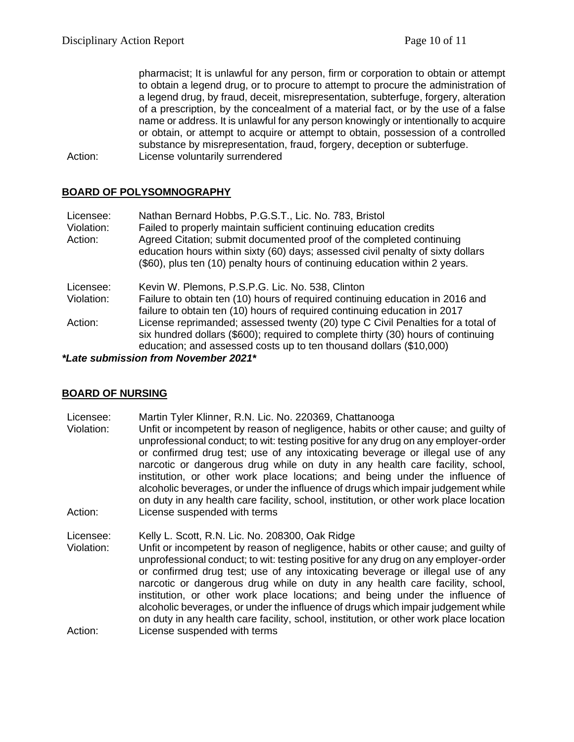pharmacist; It is unlawful for any person, firm or corporation to obtain or attempt to obtain a legend drug, or to procure to attempt to procure the administration of a legend drug, by fraud, deceit, misrepresentation, subterfuge, forgery, alteration of a prescription, by the concealment of a material fact, or by the use of a false name or address. It is unlawful for any person knowingly or intentionally to acquire or obtain, or attempt to acquire or attempt to obtain, possession of a controlled substance by misrepresentation, fraud, forgery, deception or subterfuge. Action: License voluntarily surrendered

#### **BOARD OF POLYSOMNOGRAPHY**

| Licensee:  | Nathan Bernard Hobbs, P.G.S.T., Lic. No. 783, Bristol                             |
|------------|-----------------------------------------------------------------------------------|
| Violation: | Failed to properly maintain sufficient continuing education credits               |
| Action:    | Agreed Citation; submit documented proof of the completed continuing              |
|            | education hours within sixty (60) days; assessed civil penalty of sixty dollars   |
|            | (\$60), plus ten (10) penalty hours of continuing education within 2 years.       |
| Licensee:  | Kevin W. Plemons, P.S.P.G. Lic. No. 538, Clinton                                  |
| Violation: | Failure to obtain ten (10) hours of required continuing education in 2016 and     |
|            | failure to obtain ten (10) hours of required continuing education in 2017         |
| Action:    | License reprimanded; assessed twenty (20) type C Civil Penalties for a total of   |
|            | six hundred dollars (\$600); required to complete thirty (30) hours of continuing |
|            | education; and assessed costs up to ten thousand dollars (\$10,000)               |
|            |                                                                                   |

*\*Late submission from November 2021\**

#### **BOARD OF NURSING**

Licensee: Martin Tyler Klinner, R.N. Lic. No. 220369, Chattanooga Violation: Unfit or incompetent by reason of negligence, habits or other cause; and guilty of unprofessional conduct; to wit: testing positive for any drug on any employer-order or confirmed drug test; use of any intoxicating beverage or illegal use of any narcotic or dangerous drug while on duty in any health care facility, school, institution, or other work place locations; and being under the influence of alcoholic beverages, or under the influence of drugs which impair judgement while on duty in any health care facility, school, institution, or other work place location Action: License suspended with terms

Licensee: Kelly L. Scott, R.N. Lic. No. 208300, Oak Ridge Violation: Unfit or incompetent by reason of negligence, habits or other cause; and guilty of unprofessional conduct; to wit: testing positive for any drug on any employer-order or confirmed drug test; use of any intoxicating beverage or illegal use of any narcotic or dangerous drug while on duty in any health care facility, school, institution, or other work place locations; and being under the influence of alcoholic beverages, or under the influence of drugs which impair judgement while on duty in any health care facility, school, institution, or other work place location Action: License suspended with terms